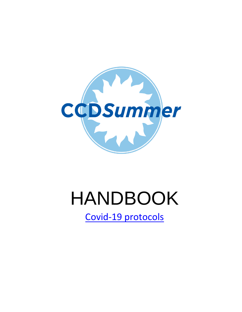

# HANDBOOK

[Covid-19 protocols](https://www.countryday.net/academics/teaching-and-learning/country-day-connected-2021)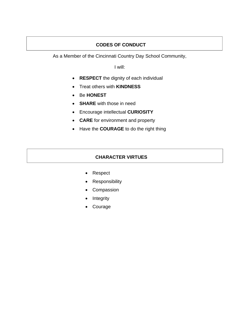# **CODES OF CONDUCT**

As a Member of the Cincinnati Country Day School Community,

I will:

- **RESPECT** the dignity of each individual
- Treat others with **KINDNESS**
- Be **HONEST**
- **SHARE** with those in need
- Encourage intellectual **CURIOSITY**
- **CARE** for environment and property
- Have the **COURAGE** to do the right thing

# **CHARACTER VIRTUES**

- Respect
- Responsibility
- Compassion
- **Integrity**
- **Courage**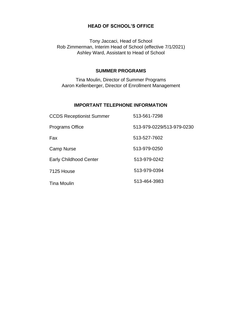#### **HEAD OF SCHOOL'S OFFICE**

Tony Jaccaci, Head of School Rob Zimmerman, Interim Head of School (effective 7/1/2021) Ashley Ward, Assistant to Head of School

#### **SUMMER PROGRAMS**

Tina Moulin, Director of Summer Programs Aaron Kellenberger, Director of Enrollment Management

## **IMPORTANT TELEPHONE INFORMATION**

| <b>CCDS Receptionist Summer</b> | 513-561-7298              |
|---------------------------------|---------------------------|
| <b>Programs Office</b>          | 513-979-0229/513-979-0230 |
| Fax                             | 513-527-7602              |
| <b>Camp Nurse</b>               | 513-979-0250              |
| <b>Early Childhood Center</b>   | 513-979-0242              |
| 7125 House                      | 513-979-0394              |
| <b>Tina Moulin</b>              | 513-464-3983              |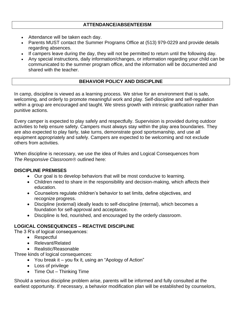# **ATTENDANCE/ABSENTEEISM**

- Attendance will be taken each day.
- Parents MUST contact the Summer Programs Office at (513) 979-0229 and provide details regarding absences.
- If campers leave during the day, they will not be permitted to return until the following day.
- Any special instructions, daily information/changes, or information regarding your child can be communicated to the summer program office, and the information will be documented and shared with the teacher.

# **BEHAVIOR POLICY AND DISCIPLINE**

In camp, discipline is viewed as a learning process. We strive for an environment that is safe, welcoming, and orderly to promote meaningful work and play. Self-discipline and self-regulation within a group are encouraged and taught. We stress growth with intrinsic gratification rather than punitive actions.

Every camper is expected to play safely and respectfully. Supervision is provided during outdoor activities to help ensure safety. Campers must always stay within the play area boundaries. They are also expected to play fairly, take turns, demonstrate good sportsmanship, and use all equipment appropriately and safely. Campers are expected to be welcoming and not exclude others from activities.

When discipline is necessary, we use the idea of Rules and Logical Consequences from *The Responsive Classroom®* outlined here:

# **DISCIPLINE PREMISES**

- Our goal is to develop behaviors that will be most conducive to learning.
- Children need to share in the responsibility and decision-making, which affects their education.
- Counselors regulate children's behavior to set limits, define objectives, and recognize progress.
- Discipline (external) ideally leads to self-discipline (internal), which becomes a foundation for self-approval and acceptance.
- Discipline is fed, nourished, and encouraged by the orderly classroom.

# **LOGICAL CONSEQUENCES – REACTIVE DISCIPLINE**

The 3 R's of logical consequences:

- Respectful
- Relevant/Related
- Realistic/Reasonable

Three kinds of logical consequences:

- You break it you fix it, using an "Apology of Action"
- Loss of privilege
- Time Out Thinking Time

Should a serious discipline problem arise, parents will be informed and fully consulted at the earliest opportunity. If necessary, a behavior modification plan will be established by counselors,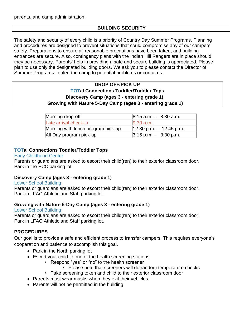parents, and camp administration.

# **BUILDING SECURITY**

The safety and security of every child is a priority of Country Day Summer Programs. Planning and procedures are designed to prevent situations that could compromise any of our campers' safety. Preparations to ensure all reasonable precautions have been taken, and building entrances are secure. Also, contingency plans with the Indian Hill Rangers are in place should they be necessary. Parents' help in providing a safe and secure building is appreciated. Please plan to use only the designated building doors. We ask you to please contact the Director of Summer Programs to alert the camp to potential problems or concerns.

# **DROP OFF/PICK UP TOTal Connections Toddler/Toddler Tops Discovery Camp (ages 3 - entering grade 1) Growing with Nature 5-Day Camp (ages 3 - entering grade 1)**

| Morning drop-off                   | $8:15$ a.m. $-$ 8:30 a.m.                |
|------------------------------------|------------------------------------------|
| Late arrival check-in              | $9:30$ a.m.                              |
| Morning with lunch program pick-up | $12:30$ p.m. $-12:45$ p.m.               |
| All-Day program pick-up            | $ 3:15 \text{ p.m.} - 3:30 \text{ p.m.}$ |

# **TOTal Connections Toddler/Toddler Tops**

#### Early Childhood Center

Parents or guardians are asked to escort their child(ren) to their exterior classroom door. Park in the ECC parking lot.

# **Discovery Camp (ages 3 - entering grade 1)**

#### Lower School Building

Parents or guardians are asked to escort their child(ren) to their exterior classroom door. Park in LFAC Athletic and Staff parking lot.

#### **Growing with Nature 5-Day Camp (ages 3 - entering grade 1)**

#### Lower School Building

Parents or guardians are asked to escort their child(ren) to their exterior classroom door. Park in LFAC Athletic and Staff parking lot.

# **PROCEDURES**

Our goal is to provide a safe and efficient process to transfer campers. This requires everyone's cooperation and patience to accomplish this goal.

- Park in the North parking lot
- Escort your child to one of the health screening stations
	- Respond "yes" or "no" to the health screener
		- Please note that screeners will do random temperature checks
	- Take screening token and child to their exterior classroom door
- Parents must wear masks when they exit their vehicles
- Parents will not be permitted in the building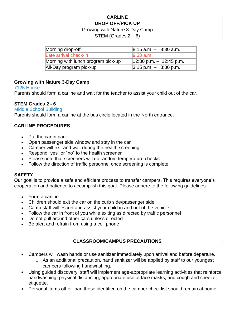# **CARLINE DROP OFF/PICK UP**

#### Growing with Nature 3-Day Camp

STEM (Grades  $2 - 6$ )

| Morning drop-off                   | $8:15$ a.m. $-$ 8:30 a.m.  |
|------------------------------------|----------------------------|
| Late arrival check-in              | $9:30$ a.m.                |
| Morning with lunch program pick-up | $12:30$ p.m. $-12:45$ p.m. |
| All-Day program pick-up            | $3:15$ p.m. $-$ 3:30 p.m.  |

# **Growing with Nature 3-Day Camp**

#### 7125 House

Parents should form a carline and wait for the teacher to assist your child out of the car.

## **STEM Grades 2 - 6**

Middle School Building Parents should form a carline at the bus circle located in the North entrance.

# **CARLINE PROCEDURES**

- Put the car in park
- Open passenger side window and stay in the car
- Camper will exit and wait during the health screening
- Respond "yes" or "no" to the health screener
- Please note that screeners will do random temperature checks
- Follow the direction of traffic personnel once screening is complete

#### **SAFETY**

Our goal is to provide a safe and efficient process to transfer campers. This requires everyone's cooperation and patience to accomplish this goal. Please adhere to the following guidelines:

- Form a carline
- Children should exit the car on the curb side/passenger side
- Camp staff will escort and assist your child in and out of the vehicle
- Follow the car in front of you while exiting as directed by traffic personnel
- Do not pull around other cars unless directed
- Be alert and refrain from using a cell phone

# **CLASSROOM/CAMPUS PRECAUTIONS**

- Campers will wash hands or use sanitizer immediately upon arrival and before departure.
	- o As an additional precaution, hand sanitizer will be applied by staff to our youngest campers following handwashing.
- Using guided discovery, staff will implement age-appropriate learning activities that reinforce handwashing, physical distancing, appropriate use of face masks, and cough and sneeze etiquette.
- Personal items other than those identified on the camper checklist should remain at home.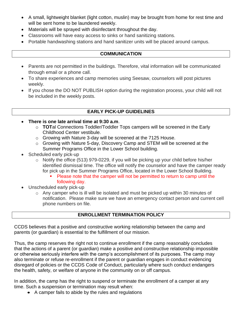- A small, lightweight blanket (light cotton, muslin) may be brought from home for rest time and will be sent home to be laundered weekly.
- Materials will be sprayed with disinfectant throughout the day.
- Classrooms will have easy access to sinks or hand sanitizing stations.
- Portable handwashing stations and hand sanitizer units will be placed around campus.

## **COMMUNICATION**

- Parents are not permitted in the buildings. Therefore, vital information will be communicated through email or a phone call.
- To share experiences and camp memories using Seesaw, counselors will post pictures weekly.
- If you chose the DO NOT PUBLISH option during the registration process, your child will not be included in the weekly posts.

# **EARLY PICK-UP GUIDELINES**

- **There is one late arrival time at 9:30 a.m**.
	- o **TOT**al Connections Toddler/Toddler Tops campers will be screened in the Early Childhood Center vestibule.
	- o Growing with Nature 3-day will be screened at the 7125 House.
	- o Growing with Nature 5-day, Discovery Camp and STEM will be screened at the Summer Programs Office in the Lower School building.
- Scheduled early pick-up
	- o Notify the office (513) 979-0229, if you will be picking up your child before his/her identified dismissal time. The office will notify the counselor and have the camper ready for pick up in the Summer Programs Office, located in the Lower School Building.
		- Please note that the camper will not be permitted to return to camp until the following day.
- Unscheduled early pick-up
	- o Any camper who is ill will be isolated and must be picked up within 30 minutes of notification. Please make sure we have an emergency contact person and current cell phone numbers on file.

# **ENROLLMENT TERMINATION POLICY**

CCDS believes that a positive and constructive working relationship between the camp and parents (or guardian) is essential to the fulfillment of our mission.

Thus, the camp reserves the right not to continue enrollment if the camp reasonably concludes that the actions of a parent (or guardian) make a positive and constructive relationship impossible or otherwise seriously interfere with the camp's accomplishment of its purposes. The camp may also terminate or refuse re-enrollment if the parent or guardian engages in conduct evidencing disregard of policies or the CCDS Code of Conduct, particularly where such conduct endangers the health, safety, or welfare of anyone in the community on or off campus.

In addition, the camp has the right to suspend or terminate the enrollment of a camper at any time. Such a suspension or termination may result when:

• A camper fails to abide by the rules and regulations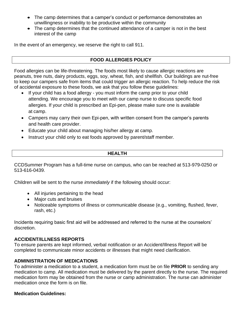- The camp determines that a camper's conduct or performance demonstrates an unwillingness or inability to be productive within the community
- The camp determines that the continued attendance of a camper is not in the best interest of the camp

In the event of an emergency, we reserve the right to call 911.

# **FOOD ALLERGIES POLICY**

Food allergies can be life-threatening. The foods most likely to cause allergic reactions are peanuts, tree nuts, dairy products, eggs, soy, wheat, fish, and shellfish. Our buildings are nut-free to keep our campers safe from items that could trigger an allergic reaction. To help reduce the risk of accidental exposure to these foods, we ask that you follow these guidelines:

- If your child has a food allergy you must inform the camp prior to your child attending. We encourage you to meet with our camp nurse to discuss specific food allergies. If your child is prescribed an Epi-pen, please make sure one is available at camp.
- Campers may carry their own Epi-pen, with written consent from the camper's parents and health care provider.
- Educate your child about managing his/her allergy at camp.
- Instruct your child only to eat foods approved by parent/staff member.

## **HEALTH**

CCDSummer Program has a full-time nurse on campus, who can be reached at 513-979-0250 or 513-616-0439.

Children will be sent to the nurse *immediately* if the following should occur:

- All injuries pertaining to the head
- Major cuts and bruises
- Noticeable symptoms of illness or communicable disease (e.g., vomiting, flushed, fever, rash, etc.)

Incidents requiring basic first aid will be addressed and referred to the nurse at the counselors' discretion.

#### **ACCIDENT/ILLNESS REPORTS**

To ensure parents are kept informed, verbal notification or an Accident/Illness Report will be completed to communicate minor accidents or illnesses that might need clarification.

# **ADMINISTRATION OF MEDICATIONS**

To administer a medication to a student, a medication form must be on file **PRIOR** to sending any medication to camp. All medication must be delivered by the parent directly to the nurse. The required medication form may be obtained from the nurse or camp administration. The nurse can administer medication once the form is on file.

#### **Medication Guidelines:**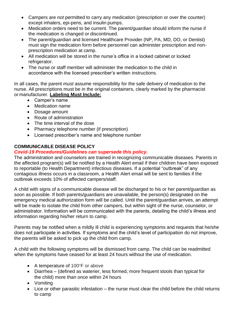- Campers are *not* permitted to carry any medication (prescription or over the counter) except inhalers, epi-pens, and insulin pumps.
- Medication orders need to be current. The parent/guardian should inform the nurse if the medication is changed or discontinued.
- The parent/guardian and licensed Healthcare Provider (NP, PA, MD, DO, or Dentist) must sign the medication form before personnel can administer prescription and nonprescription medication at camp.
- All medication will be stored in the nurse's office in a locked cabinet or locked refrigerator.
- The nurse or staff member will administer the medication to the child in accordance with the licensed prescriber's written instructions.

In all cases, the parent *must* assume responsibility for the safe delivery of medication to the nurse. All prescriptions must be in the original containers, clearly marked by the pharmacist or manufacturer. **Labeling Must Include:**

- Camper's name
- Medication name
- Dosage amount
- Route of administration
- The time interval of the dose
- Pharmacy telephone number (if prescription)
- Licensed prescriber's name and telephone number

# **COMMUNICABLE DISEASE POLICY**

# *Covid-19 Procedures/Guidelines can supersede this policy.*

The administration and counselors are trained in recognizing communicable diseases. Parents in the affected program(s) will be notified by a Health Alert email if their children have been exposed to reportable (to Health Department) infectious diseases. If a potential "outbreak" of any contagious illness occurs in a classroom, a Health Alert email will be sent to families if the outbreak exceeds 10% of affected campers/staff.

A child with signs of a communicable disease will be discharged to his or her parent/guardian as soon as possible. If both parents/guardians are unavailable, the person(s) designated on the emergency medical authorization form will be called. Until the parent/guardian arrives, an attempt will be made to isolate the child from other campers, but within sight of the nurse, counselor, or administrator. Information will be communicated with the parents, detailing the child's illness and information regarding his/her return to camp.

Parents may be notified when a mildly ill child is experiencing symptoms and requests that he/she does not participate in activities. If symptoms and the child's level of participation do not improve, the parents will be asked to pick up the child from camp.

A child with the following symptoms will be dismissed from camp. The child can be readmitted when the symptoms have ceased for at least 24 hours without the use of medication.

- A temperature of 100°F or above
- Diarrhea (defined as waterier, less formed, more frequent stools than typical for the child) more than once within 24 hours
- Vomiting
- Lice or other parasitic infestation the nurse must clear the child before the child returns to camp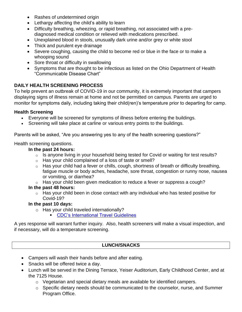- Rashes of undetermined origin
- Lethargy affecting the child's ability to learn
- Difficulty breathing, wheezing, or rapid breathing, not associated with a prediagnosed medical condition or relieved with medications prescribed.
- Unexplained blood in stools, unusually dark urine and/or grey or white stool
- Thick and purulent eye drainage
- Severe coughing, causing the child to become red or blue in the face or to make a whooping sound
- Sore throat or difficulty in swallowing
- Symptoms that are thought to be infectious as listed on the Ohio Department of Health "Communicable Disease Chart"

# **DAILY HEALTH SCREENING PROCESS**

To help prevent an outbreak of COVID-19 in our community, it is extremely important that campers displaying signs of illness remain at home and not be permitted on campus. Parents are urged to monitor for symptoms daily, including taking their child(ren)'s temperature prior to departing for camp.

# **Health Screening**

- Everyone will be screened for symptoms of illness before entering the buildings.
- Screening will take place at carline or various entry points to the buildings.

Parents will be asked, "Are you answering yes to any of the health screening questions?"

Health screening questions.

# **In the past 24 hours:**

- $\circ$  Is anyone living in your household being tested for Covid or waiting for test results?
- o Has your child complained of a loss of taste or smell?
- $\circ$  Has your child had a fever or chills, cough, shortness of breath or difficulty breathing, fatigue muscle or body aches, headache, sore throat, congestion or runny nose, nausea or vomiting, or diarrhea?
- $\circ$  Has your child been given medication to reduce a fever or suppress a cough?

# **In the past 48 hours:**

 $\circ$  Has your child been in close contact with any individual who has tested positive for Covid-19?

# **In the past 10 days:**

- o Has your child traveled internationally?
	- [CDC's International Travel Guidelines](https://www.cdc.gov/coronavirus/2019-ncov/travelers/after-travel-precautions.html#:~:text=If%20you%20don)

A yes response will warrant further inquiry. Also, health screeners will make a visual inspection, and if necessary, will do a temperature screening.

# **LUNCH/SNACKS**

- Campers will wash their hands before and after eating.
- Snacks will be offered twice a day.
- Lunch will be served in the Dining Terrace, Yeiser Auditorium, Early Childhood Center, and at the 7125 House.
	- $\circ$  Vegetarian and special dietary meals are available for identified campers.
	- o Specific dietary needs should be communicated to the counselor, nurse, and Summer Program Office.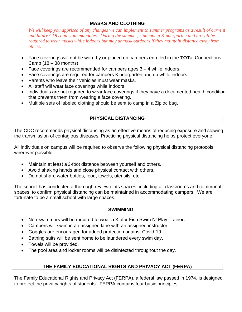# **MASKS AND CLOTHING**

We will keep you apprised of any changes we can implement to summer programs as a result of current *and future CDC and state mandates. During the summer, students in Kindergarten and up will be required to wear masks while indoors but may unmask outdoors if they maintain distance away from others.*

- Face coverings will not be worn by or placed on campers enrolled in the **TOT**al Connections Camp  $(18 - 38$  months).
- Face coverings are recommended for campers ages 3 4 while indoors.
- Face coverings are required for campers Kindergarten and up while indoors.
- Parents who leave their vehicles must wear masks.
- All staff will wear face coverings while indoors.
- Individuals are not required to wear face coverings if they have a documented health condition that prevents them from wearing a face covering.
- Multiple sets of labeled clothing should be sent to camp in a Ziploc bag.

# **PHYSICAL DISTANCING**

The CDC recommends physical distancing as an effective means of reducing exposure and slowing the transmission of contagious diseases. Practicing physical distancing helps protect everyone.

All individuals on campus will be required to observe the following physical distancing protocols wherever possible:

- Maintain at least a 3-foot distance between yourself and others.
- Avoid shaking hands and close physical contact with others.
- Do not share water bottles, food, towels, utensils, etc.

The school has conducted a thorough review of its spaces, including all classrooms and communal spaces, to confirm physical distancing can be maintained in accommodating campers. We are fortunate to be a small school with large spaces.

#### **SWIMMING**

- Non-swimmers will be required to wear a Kiefer Fish Swim N' Play Trainer.
- Campers will swim in an assigned lane with an assigned instructor.
- Goggles are encouraged for added protection against Covid-19.
- Bathing suits will be sent home to be laundered every swim day.
- Towels will be provided.
- The pool area and locker rooms will be disinfected throughout the day.

# **THE FAMILY EDUCATIONAL RIGHTS AND PRIVACY ACT (FERPA)**

The Family Educational Rights and Privacy Act (FERPA), a federal law passed in 1974, is designed to protect the privacy rights of students. FERPA contains four basic principles: